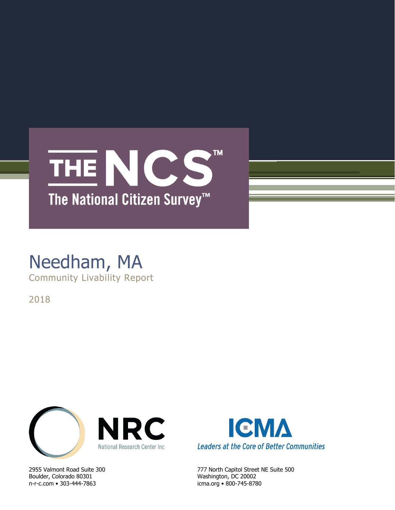

### Needham, MA Community Livability Report

2018



Boulder, Colorado 80301 Washington, DC 20002 n-r-c.com • 303-444-7863 icma.org • 800-745-8780



2955 Valmont Road Suite 300 777 North Capitol Street NE Suite 500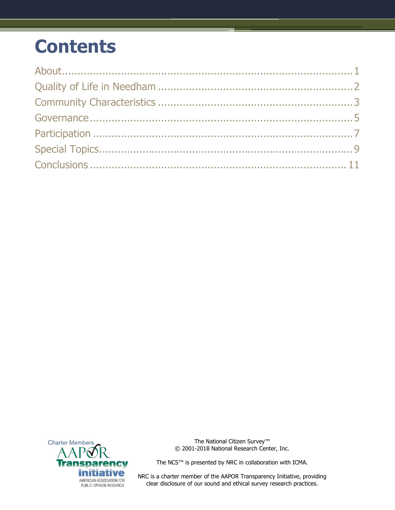# **Contents**



The National Citizen Survey<sup>™</sup> © 2001-2018 National Research Center, Inc.

The NCS™ is presented by NRC in collaboration with ICMA.

NRC is a charter member of the AAPOR Transparency Initiative, providing clear disclosure of our sound and ethical survey research practices.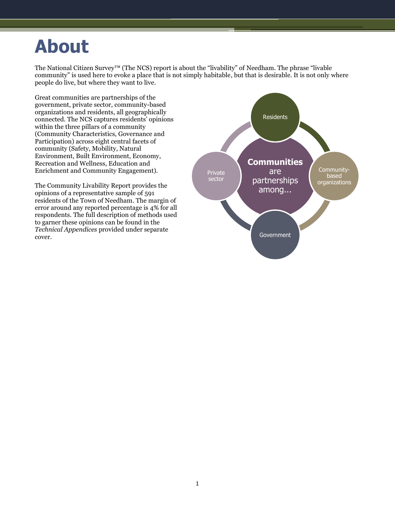# <span id="page-2-0"></span>**About**

The National Citizen Survey™ (The NCS) report is about the "livability" of Needham. The phrase "livable community" is used here to evoke a place that is not simply habitable, but that is desirable. It is not only where people do live, but where they want to live.

Great communities are partnerships of the government, private sector, community-based organizations and residents, all geographically connected. The NCS captures residents' opinions within the three pillars of a community (Community Characteristics, Governance and Participation) across eight central facets of community (Safety, Mobility, Natural Environment, Built Environment, Economy, Recreation and Wellness, Education and Enrichment and Community Engagement).

The Community Livability Report provides the opinions of a representative sample of 591 residents of the Town of Needham. The margin of error around any reported percentage is 4% for all respondents. The full description of methods used to garner these opinions can be found in the *Technical Appendices* provided under separate cover.

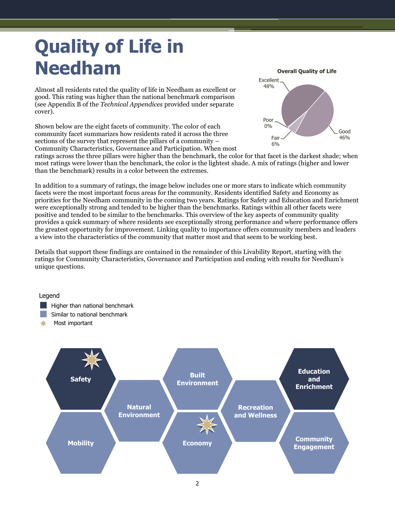# <span id="page-3-0"></span>**Quality of Life in Needham**

Almost all residents rated the quality of life in Needham as excellent or good. This rating was higher than the national benchmark comparison (see Appendix B of the *Technical Appendices* provided under separate cover).

Shown below are the eight facets of community. The color of each community facet summarizes how residents rated it across the three sections of the survey that represent the pillars of a community – Community Characteristics, Governance and Participation. When most



ratings across the three pillars were higher than the benchmark, the color for that facet is the darkest shade; when most ratings were lower than the benchmark, the color is the lightest shade. A mix of ratings (higher and lower than the benchmark) results in a color between the extremes.

In addition to a summary of ratings, the image below includes one or more stars to indicate which community facets were the most important focus areas for the community. Residents identified Safety and Economy as priorities for the Needham community in the coming two years. Ratings for Safety and Education and Enrichment were exceptionally strong and tended to be higher than the benchmarks. Ratings within all other facets were positive and tended to be similar to the benchmarks. This overview of the key aspects of community quality provides a quick summary of where residents see exceptionally strong performance and where performance offers the greatest opportunity for improvement. Linking quality to importance offers community members and leaders a view into the characteristics of the community that matter most and that seem to be working best.

Details that support these findings are contained in the remainder of this Livability Report, starting with the ratings for Community Characteristics, Governance and Participation and ending with results for Needham's unique questions.

#### Legend

- **Higher than national benchmark**
- **Similar to national benchmark**
- Most important

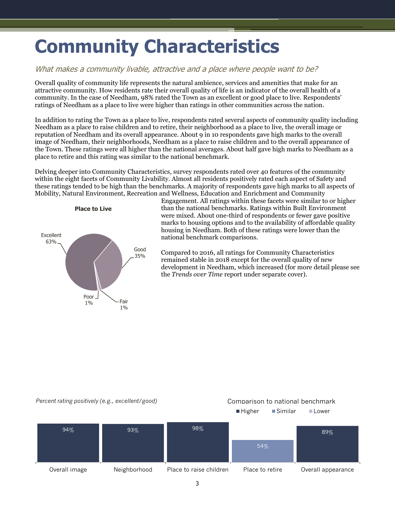# <span id="page-4-0"></span>**Community Characteristics**

### What makes a community livable, attractive and a place where people want to be?

Overall quality of community life represents the natural ambience, services and amenities that make for an attractive community. How residents rate their overall quality of life is an indicator of the overall health of a community. In the case of Needham, 98% rated the Town as an excellent or good place to live. Respondents' ratings of Needham as a place to live were higher than ratings in other communities across the nation.

In addition to rating the Town as a place to live, respondents rated several aspects of community quality including Needham as a place to raise children and to retire, their neighborhood as a place to live, the overall image or reputation of Needham and its overall appearance. About 9 in 10 respondents gave high marks to the overall image of Needham, their neighborhoods, Needham as a place to raise children and to the overall appearance of the Town. These ratings were all higher than the national averages. About half gave high marks to Needham as a place to retire and this rating was similar to the national benchmark.

Delving deeper into Community Characteristics, survey respondents rated over 40 features of the community within the eight facets of Community Livability. Almost all residents positively rated each aspect of Safety and these ratings tended to be high than the benchmarks. A majority of respondents gave high marks to all aspects of Mobility, Natural Environment, Recreation and Wellness, Education and Enrichment and Community



Engagement. All ratings within these facets were similar to or higher than the national benchmarks. Ratings within Built Environment were mixed. About one-third of respondents or fewer gave positive marks to housing options and to the availability of affordable quality housing in Needham. Both of these ratings were lower than the national benchmark comparisons.

Compared to 2016, all ratings for Community Characteristics remained stable in 2018 except for the overall quality of new development in Needham, which increased (for more detail please see the *Trends over Time* report under separate cover).

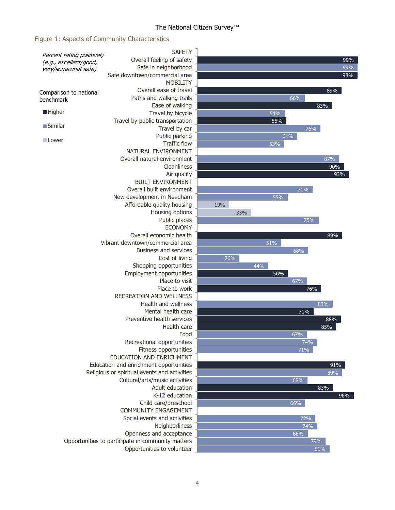### The National Citizen Survey<sup>™</sup>

### Figure 1: Aspects of Community Characteristics

| Percent rating positively | <b>SAFETY</b>                                     |     |     |     |     |     |
|---------------------------|---------------------------------------------------|-----|-----|-----|-----|-----|
| (e.g., excellent/good,    | Overall feeling of safety                         |     |     |     |     | 99% |
| very/somewhat safe)       | Safe in neighborhood                              |     |     |     |     | 99% |
|                           | Safe downtown/commercial area                     |     |     |     |     | 98% |
|                           | <b>MOBILITY</b>                                   |     |     |     |     |     |
| Comparison to national    | Overall ease of travel                            |     |     |     |     | 89% |
| benchmark                 | Paths and walking trails                          |     |     |     | 66% |     |
|                           | Ease of walking                                   |     |     |     |     | 83% |
| <b>Higher</b>             | Travel by bicycle                                 |     |     | 54% |     |     |
|                           | Travel by public transportation                   |     |     | 55% |     |     |
| $\blacksquare$ Similar    | Travel by car                                     |     |     |     | 76% |     |
| Lower                     | Public parking                                    |     |     |     | 61% |     |
|                           | <b>Traffic flow</b>                               |     |     | 53% |     |     |
|                           | NATURAL ENVIRONMENT                               |     |     |     |     |     |
|                           | Overall natural environment                       |     |     |     |     | 87% |
|                           | Cleanliness                                       |     |     |     |     | 90% |
|                           | Air quality                                       |     |     |     |     | 93% |
|                           | <b>BUILT ENVIRONMENT</b>                          |     |     |     |     |     |
|                           | Overall built environment                         |     |     |     | 71% |     |
|                           | New development in Needham                        |     |     | 55% |     |     |
|                           | Affordable quality housing                        | 19% |     |     |     |     |
|                           | Housing options                                   |     | 33% |     |     |     |
|                           | Public places                                     |     |     |     | 75% |     |
|                           | <b>ECONOMY</b>                                    |     |     |     |     |     |
|                           | Overall economic health                           |     |     |     |     | 89% |
|                           | Vibrant downtown/commercial area                  |     |     | 51% |     |     |
|                           | <b>Business and services</b>                      |     |     |     | 68% |     |
|                           | Cost of living                                    | 26% |     |     |     |     |
|                           | Shopping opportunities                            |     |     | 44% |     |     |
|                           | Employment opportunities                          |     |     | 56% |     |     |
| Place to visit            |                                                   |     |     |     | 67% |     |
|                           | Place to work                                     |     |     |     | 76% |     |
|                           | <b>RECREATION AND WELLNESS</b>                    |     |     |     |     |     |
|                           | Health and wellness                               |     |     |     |     | 83% |
|                           | Mental health care                                |     |     |     | 71% |     |
|                           | Preventive health services                        |     |     |     |     | 88% |
|                           | Health care                                       |     |     |     |     | 85% |
|                           | Food                                              |     |     |     | 67% |     |
|                           | Recreational opportunities                        |     |     |     | 74% |     |
|                           | Fitness opportunities                             |     |     |     | 71% |     |
|                           | EDUCATION AND ENRICHMENT                          |     |     |     |     |     |
|                           | Education and enrichment opportunities            |     |     |     |     | 91% |
|                           | Religious or spiritual events and activities      |     |     |     |     | 89% |
|                           | Cultural/arts/music activities                    |     |     |     | 68% |     |
|                           | Adult education                                   |     |     |     |     | 83% |
|                           | K-12 education                                    |     |     |     |     | 96% |
|                           | Child care/preschool                              |     |     |     | 66% |     |
|                           | COMMUNITY ENGAGEMENT                              |     |     |     |     |     |
|                           | Social events and activities                      |     |     |     | 72% |     |
|                           |                                                   |     |     | 74% |     |     |
|                           | Neighborliness<br>Openness and acceptance         |     |     |     | 68% |     |
|                           | Opportunities to participate in community matters |     |     |     |     | 79% |
|                           | Opportunities to volunteer                        |     |     |     |     | 81% |
|                           |                                                   |     |     |     |     |     |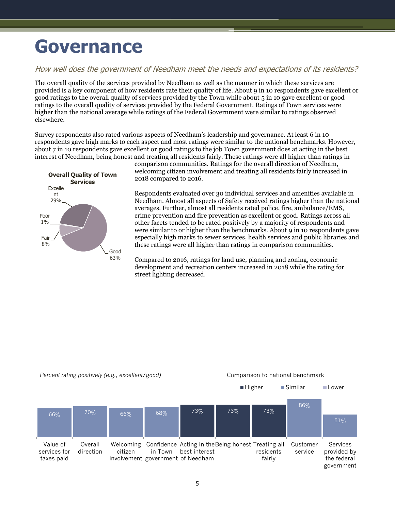## <span id="page-6-0"></span>**Governance**

### How well does the government of Needham meet the needs and expectations of its residents?

The overall quality of the services provided by Needham as well as the manner in which these services are provided is a key component of how residents rate their quality of life. About 9 in 10 respondents gave excellent or good ratings to the overall quality of services provided by the Town while about 5 in 10 gave excellent or good ratings to the overall quality of services provided by the Federal Government. Ratings of Town services were higher than the national average while ratings of the Federal Government were similar to ratings observed elsewhere.

Survey respondents also rated various aspects of Needham's leadership and governance. At least 6 in 10 respondents gave high marks to each aspect and most ratings were similar to the national benchmarks. However, about 7 in 10 respondents gave excellent or good ratings to the job Town government does at acting in the best interest of Needham, being honest and treating all residents fairly. These ratings were all higher than ratings in



comparison communities. Ratings for the overall direction of Needham, welcoming citizen involvement and treating all residents fairly increased in 2018 compared to 2016.

Respondents evaluated over 30 individual services and amenities available in Needham. Almost all aspects of Safety received ratings higher than the national averages. Further, almost all residents rated police, fire, ambulance/EMS, crime prevention and fire prevention as excellent or good. Ratings across all other facets tended to be rated positively by a majority of respondents and were similar to or higher than the benchmarks. About 9 in 10 respondents gave especially high marks to sewer services, health services and public libraries and these ratings were all higher than ratings in comparison communities.

Compared to 2016, ratings for land use, planning and zoning, economic development and recreation centers increased in 2018 while the rating for street lighting decreased.

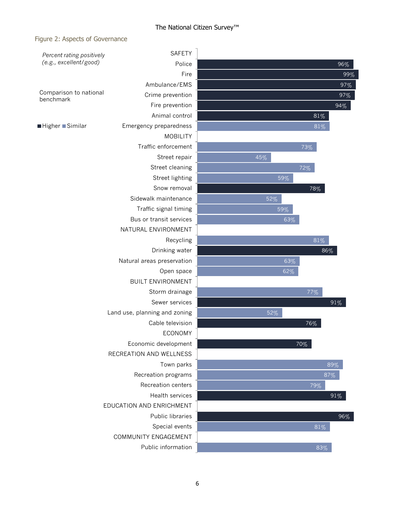#### The National Citizen Survey™

#### Figure 2: Aspects of Governance

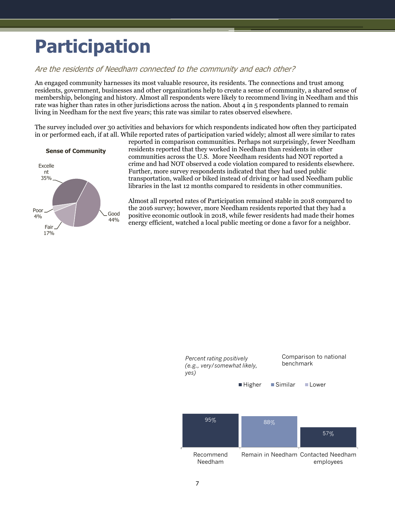# <span id="page-8-0"></span>**Participation**

### Are the residents of Needham connected to the community and each other?

An engaged community harnesses its most valuable resource, its residents. The connections and trust among residents, government, businesses and other organizations help to create a sense of community, a shared sense of membership, belonging and history. Almost all respondents were likely to recommend living in Needham and this rate was higher than rates in other jurisdictions across the nation. About 4 in 5 respondents planned to remain living in Needham for the next five years; this rate was similar to rates observed elsewhere.

The survey included over 30 activities and behaviors for which respondents indicated how often they participated in or performed each, if at all. While reported rates of participation varied widely; almost all were similar to rates



reported in comparison communities. Perhaps not surprisingly, fewer Needham residents reported that they worked in Needham than residents in other communities across the U.S. More Needham residents had NOT reported a crime and had NOT observed a code violation compared to residents elsewhere. Further, more survey respondents indicated that they had used public transportation, walked or biked instead of driving or had used Needham public libraries in the last 12 months compared to residents in other communities.

Almost all reported rates of Participation remained stable in 2018 compared to the 2016 survey; however, more Needham residents reported that they had a positive economic outlook in 2018, while fewer residents had made their homes energy efficient, watched a local public meeting or done a favor for a neighbor.

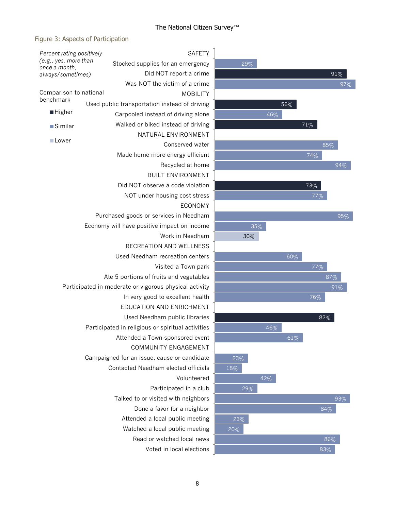### The National Citizen Survey™

### Figure 3: Aspects of Participation

| Percent rating positively                                                                                                                          | <b>SAFETY</b>                                 |     |  |  |  |                                                        |                                             |    |
|----------------------------------------------------------------------------------------------------------------------------------------------------|-----------------------------------------------|-----|--|--|--|--------------------------------------------------------|---------------------------------------------|----|
| (e.g., yes, more than<br>once a month,                                                                                                             | Stocked supplies for an emergency             |     |  |  |  |                                                        |                                             |    |
| always/sometimes)                                                                                                                                  | Did NOT report a crime                        |     |  |  |  |                                                        |                                             |    |
|                                                                                                                                                    | Was NOT the victim of a crime                 |     |  |  |  |                                                        |                                             |    |
| Comparison to national                                                                                                                             | <b>MOBILITY</b>                               |     |  |  |  |                                                        |                                             |    |
| benchmark                                                                                                                                          | Used public transportation instead of driving |     |  |  |  |                                                        |                                             |    |
| ■ Higher                                                                                                                                           | Carpooled instead of driving alone            |     |  |  |  |                                                        |                                             |    |
| <b>Similar</b>                                                                                                                                     | Walked or biked instead of driving            |     |  |  |  |                                                        |                                             |    |
|                                                                                                                                                    | NATURAL ENVIRONMENT                           |     |  |  |  |                                                        |                                             |    |
| Lower                                                                                                                                              | Conserved water                               |     |  |  |  |                                                        |                                             |    |
|                                                                                                                                                    | Made home more energy efficient               |     |  |  |  |                                                        |                                             |    |
|                                                                                                                                                    | Recycled at home                              |     |  |  |  |                                                        |                                             |    |
|                                                                                                                                                    | <b>BUILT ENVIRONMENT</b>                      |     |  |  |  |                                                        |                                             |    |
|                                                                                                                                                    | Did NOT observe a code violation              |     |  |  |  |                                                        |                                             |    |
|                                                                                                                                                    | NOT under housing cost stress                 |     |  |  |  |                                                        |                                             |    |
|                                                                                                                                                    | <b>ECONOMY</b>                                |     |  |  |  |                                                        |                                             |    |
| Purchased goods or services in Needham<br>Economy will have positive impact on income<br>Work in Needham                                           |                                               |     |  |  |  |                                                        |                                             |    |
|                                                                                                                                                    |                                               |     |  |  |  |                                                        | RECREATION AND WELLNESS                     |    |
|                                                                                                                                                    |                                               |     |  |  |  | Used Needham recreation centers                        |                                             |    |
| Visited a Town park<br>Ate 5 portions of fruits and vegetables                                                                                     |                                               |     |  |  |  |                                                        |                                             |    |
|                                                                                                                                                    |                                               |     |  |  |  | Participated in moderate or vigorous physical activity |                                             |    |
| In very good to excellent health<br>EDUCATION AND ENRICHMENT<br>Used Needham public libraries<br>Participated in religious or spiritual activities |                                               |     |  |  |  |                                                        |                                             |    |
|                                                                                                                                                    |                                               |     |  |  |  |                                                        | Attended a Town-sponsored event             |    |
|                                                                                                                                                    |                                               |     |  |  |  |                                                        | COMMUNITY ENGAGEMENT                        |    |
|                                                                                                                                                    |                                               |     |  |  |  |                                                        | Campaigned for an issue, cause or candidate | 23 |
|                                                                                                                                                    | Contacted Needham elected officials           | 18% |  |  |  |                                                        |                                             |    |
|                                                                                                                                                    | Volunteered                                   |     |  |  |  |                                                        |                                             |    |
|                                                                                                                                                    | Participated in a club                        |     |  |  |  |                                                        |                                             |    |
|                                                                                                                                                    | Talked to or visited with neighbors           |     |  |  |  |                                                        |                                             |    |
|                                                                                                                                                    | Done a favor for a neighbor                   |     |  |  |  |                                                        |                                             |    |
|                                                                                                                                                    | Attended a local public meeting               | 23  |  |  |  |                                                        |                                             |    |
|                                                                                                                                                    | Watched a local public meeting                | 20% |  |  |  |                                                        |                                             |    |
|                                                                                                                                                    | Read or watched local news                    |     |  |  |  |                                                        |                                             |    |
|                                                                                                                                                    | Voted in local elections                      |     |  |  |  |                                                        |                                             |    |

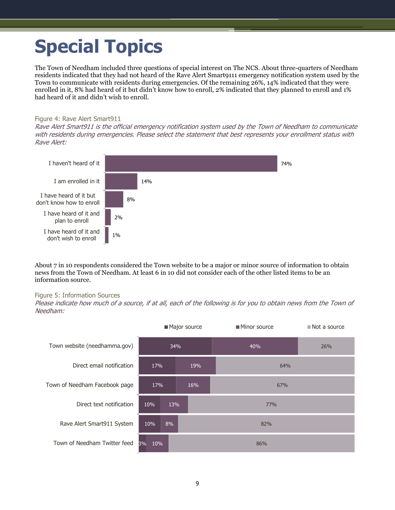# <span id="page-10-0"></span>**Special Topics**

The Town of Needham included three questions of special interest on The NCS. About three-quarters of Needham residents indicated that they had not heard of the Rave Alert Smart9111 emergency notification system used by the Town to communicate with residents during emergencies. Of the remaining 26%, 14% indicated that they were enrolled in it, 8% had heard of it but didn't know how to enroll, 2% indicated that they planned to enroll and 1% had heard of it and didn't wish to enroll.

#### Figure 4: Rave Alert Smart911

Rave Alert Smart911 is the official emergency notification system used by the Town of Needham to communicate with residents during emergencies. Please select the statement that best represents your enrollment status with Rave Alert:



About 7 in 10 respondents considered the Town website to be a major or minor source of information to obtain news from the Town of Needham. At least 6 in 10 did not consider each of the other listed items to be an information source.

#### Figure 5: Information Sources

Please indicate how much of a source, if at all, each of the following is for you to obtain news from the Town of Needham:

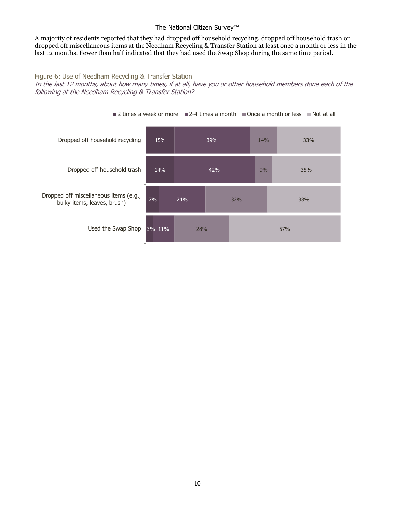#### The National Citizen Survey™

A majority of residents reported that they had dropped off household recycling, dropped off household trash or dropped off miscellaneous items at the Needham Recycling & Transfer Station at least once a month or less in the last 12 months. Fewer than half indicated that they had used the Swap Shop during the same time period.

#### Figure 6: Use of Needham Recycling & Transfer Station

In the last 12 months, about how many times, if at all, have you or other household members done each of the following at the Needham Recycling & Transfer Station?



 $\blacksquare$  2 times a week or more  $\blacksquare$  2-4 times a month  $\blacksquare$  Once a month or less  $\blacksquare$  Not at all